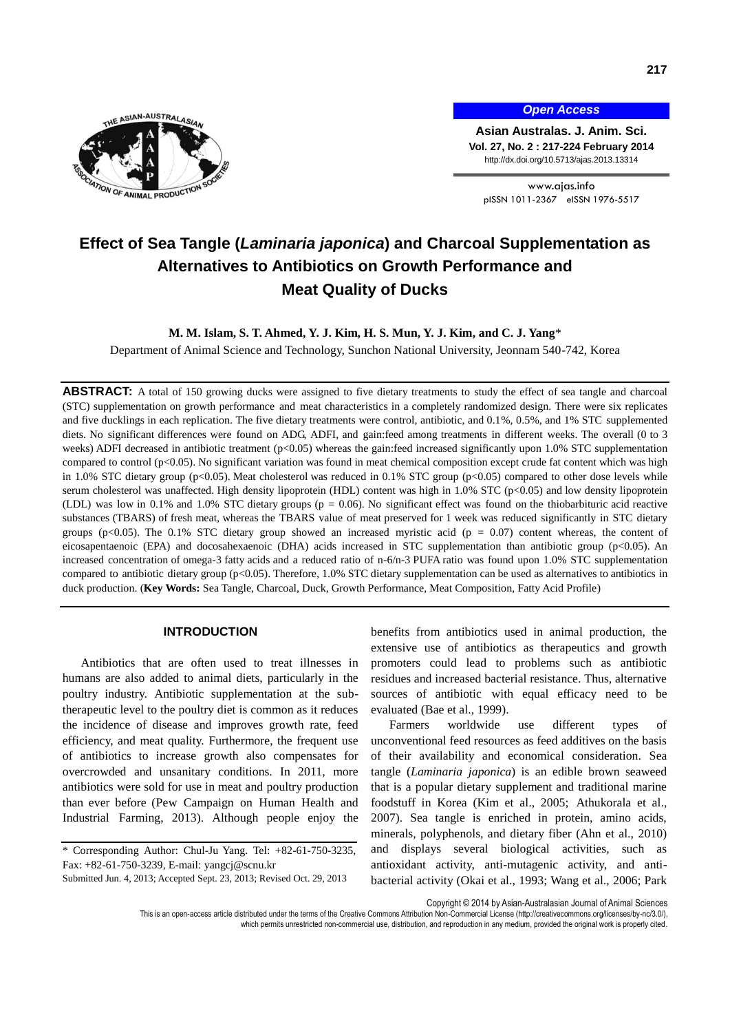

*Open Access*

**Asian Australas. J. Anim. Sci. Vol. 27, No. 2 : 217-224 February 2014** http://dx.doi.org/10.5713/ajas.2013.13314

www.ajas.info pISSN 1011-2367 eISSN 1976-5517

# **Effect of Sea Tangle (***Laminaria japonica***) and Charcoal Supplementation as Alternatives to Antibiotics on Growth Performance and Meat Quality of Ducks**

# **M. M. Islam, S. T. Ahmed, Y. J. Kim, H. S. Mun, Y. J. Kim, and C. J. Yang**\*

Department of Animal Science and Technology, Sunchon National University, Jeonnam 540-742, Korea

ABSTRACT: A total of 150 growing ducks were assigned to five dietary treatments to study the effect of sea tangle and charcoal (STC) supplementation on growth performance and meat characteristics in a completely randomized design. There were six replicates and five ducklings in each replication. The five dietary treatments were control, antibiotic, and 0.1%, 0.5%, and 1% STC supplemented diets. No significant differences were found on ADG, ADFI, and gain:feed among treatments in different weeks. The overall (0 to 3 weeks) ADFI decreased in antibiotic treatment (p<0.05) whereas the gain:feed increased significantly upon 1.0% STC supplementation compared to control (p<0.05). No significant variation was found in meat chemical composition except crude fat content which was high in 1.0% STC dietary group (p<0.05). Meat cholesterol was reduced in 0.1% STC group (p<0.05) compared to other dose levels while serum cholesterol was unaffected. High density lipoprotein (HDL) content was high in 1.0% STC (p<0.05) and low density lipoprotein (LDL) was low in 0.1% and 1.0% STC dietary groups (p = 0.06). No significant effect was found on the thiobarbituric acid reactive substances (TBARS) of fresh meat, whereas the TBARS value of meat preserved for 1 week was reduced significantly in STC dietary groups ( $p$ <0.05). The 0.1% STC dietary group showed an increased myristic acid ( $p = 0.07$ ) content whereas, the content of eicosapentaenoic (EPA) and docosahexaenoic (DHA) acids increased in STC supplementation than antibiotic group (p<0.05). An increased concentration of omega-3 fatty acids and a reduced ratio of n-6/n-3 PUFA ratio was found upon 1.0% STC supplementation compared to antibiotic dietary group (p<0.05). Therefore, 1.0% STC dietary supplementation can be used as alternatives to antibiotics in duck production. (**Key Words:** Sea Tangle, Charcoal, Duck, Growth Performance, Meat Composition, Fatty Acid Profile)

# **INTRODUCTION**

Antibiotics that are often used to treat illnesses in humans are also added to animal diets, particularly in the poultry industry. Antibiotic supplementation at the subtherapeutic level to the poultry diet is common as it reduces the incidence of disease and improves growth rate, feed efficiency, and meat quality. Furthermore, the frequent use of antibiotics to increase growth also compensates for overcrowded and unsanitary conditions. In 2011, more antibiotics were sold for use in meat and poultry production than ever before [\(Pew Campaign on Human Health and](http://www.pewhealth.org/projects/pew-campaign-on-human-health-and-industrial-farming-85899367226)  [Industrial Farming,](http://www.pewhealth.org/projects/pew-campaign-on-human-health-and-industrial-farming-85899367226) 2013). Although people enjoy the benefits from antibiotics used in animal production, the extensive use of antibiotics as therapeutics and growth promoters could lead to problems such as antibiotic residues and increased bacterial resistance. Thus, alternative sources of antibiotic with equal efficacy need to be evaluated [\(Bae et al.,](http://ps.fass.org/content/90/4/737.long#ref-2) 1999).

Farmers worldwide use different types of unconventional feed resources as feed additives on the basis of their availability and economical consideration. Sea tangle (*Laminaria japonica*) is an edible brown seaweed that is a popular dietary supplement and traditional marine foodstuff in Korea (Kim et al., 2005; Athukorala et al., 2007). Sea tangle is enriched in protein, amino acids, minerals, polyphenols, and dietary fiber (Ahn et al., 2010) and displays several biological activities, such as antioxidant activity, anti-mutagenic activity, and antibacterial activity (Okai et al., 1993; Wang et al., 2006; Park

Copyright © 2014 by Asian-Australasian Journal of Animal Sciences

<sup>\*</sup> Corresponding Author: Chul-Ju Yang. Tel: +82-61-750-3235, Fax: +82-61-750-3239, E-mail: yangcj@scnu.kr

Submitted Jun. 4, 2013; Accepted Sept. 23, 2013; Revised Oct. 29, 2013

This is an open-access article distributed under the terms of the Creative Commons Attribution Non-Commercial License [\(http://creativecommons.org/licenses/by-nc/3.0/\),](http://creativecommons.org/licenses/by-nc/3.0/) which permits unrestricted non-commercial use, distribution, and reproduction in any medium, provided the original work is properly cited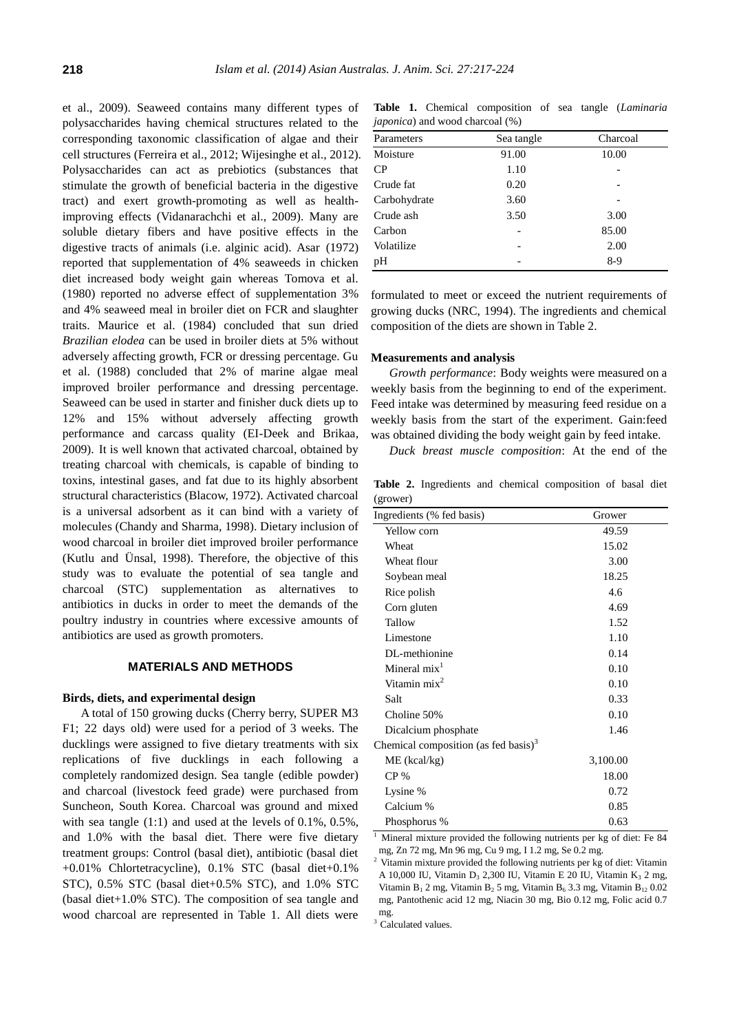et al., 2009). Seaweed contains many different types of polysaccharides having chemical structures related to the corresponding taxonomic classification of algae and their cell structures (Ferreira et al., 2012; Wijesinghe et al., 2012). Polysaccharides can act as prebiotics (substances that stimulate the growth of beneficial bacteria in the digestive tract) and exert growth-promoting as well as healthimproving effects (Vidanarachchi et al., 2009). Many are soluble dietary fibers and have positive effects in the digestive tracts of animals (i.e. alginic acid). Asar (1972) reported that supplementation of 4% seaweeds in chicken diet increased body weight gain whereas Tomova et al. (1980) reported no adverse effect of supplementation 3% and 4% seaweed meal in broiler diet on FCR and slaughter traits. Maurice et al. (1984) concluded that sun dried *Brazilian elodea* can be used in broiler diets at 5% without adversely affecting growth, FCR or dressing percentage. Gu et al. (1988) concluded that 2% of marine algae meal improved broiler performance and dressing percentage. Seaweed can be used in starter and finisher duck diets up to 12% and 15% without adversely affecting growth performance and carcass quality (EI-Deek and Brikaa, 2009). It is well known that activated charcoal, obtained by treating charcoal with chemicals, is capable of binding to toxins, intestinal gases, and fat due to its highly absorbent structural characteristics (Blacow, 1972). Activated charcoal is a universal adsorbent as it can bind with a variety of molecules (Chandy and Sharma, 1998). Dietary inclusion of wood charcoal in broiler diet improved broiler performance (Kutlu and Ü nsal, 1998). Therefore, the objective of this study was to evaluate the potential of sea tangle and charcoal (STC) supplementation as alternatives to antibiotics in ducks in order to meet the demands of the poultry industry in countries where excessive amounts of antibiotics are used as growth promoters.

# **MATERIALS AND METHODS**

### **Birds, diets, and experimental design**

A total of 150 growing ducks (Cherry berry, SUPER M3 F1; 22 days old) were used for a period of 3 weeks. The ducklings were assigned to five dietary treatments with six replications of five ducklings in each following a completely randomized design. Sea tangle (edible powder) and charcoal (livestock feed grade) were purchased from Suncheon, South Korea. Charcoal was ground and mixed with sea tangle (1:1) and used at the levels of 0.1%, 0.5%, and 1.0% with the basal diet. There were five dietary treatment groups: Control (basal diet), antibiotic (basal diet +0.01% Chlortetracycline), 0.1% STC (basal diet+0.1% STC), 0.5% STC (basal diet+0.5% STC), and 1.0% STC (basal diet+1.0% STC). The composition of sea tangle and wood charcoal are represented in Table 1. All diets were

**Table 1.** Chemical composition of sea tangle (*Laminaria japonica*) and wood charcoal (%)

| Parameters   | Sea tangle | Charcoal |
|--------------|------------|----------|
| Moisture     | 91.00      | 10.00    |
| CP           | 1.10       |          |
| Crude fat    | 0.20       |          |
| Carbohydrate | 3.60       |          |
| Crude ash    | 3.50       | 3.00     |
| Carbon       |            | 85.00    |
| Volatilize   |            | 2.00     |
| pH           |            | $8-9$    |
|              |            |          |

formulated to meet or exceed the nutrient requirements of growing ducks (NRC, 1994). The ingredients and chemical composition of the diets are shown in Table 2.

## **Measurements and analysis**

*Growth performance*: Body weights were measured on a weekly basis from the beginning to end of the experiment. Feed intake was determined by measuring feed residue on a weekly basis from the start of the experiment. Gain:feed was obtained dividing the body weight gain by feed intake.

*Duck breast muscle composition*: At the end of the

**Table 2.** Ingredients and chemical composition of basal diet (grower)

| Ingredients (% fed basis)                        | Grower   |  |
|--------------------------------------------------|----------|--|
| Yellow corn                                      | 49.59    |  |
| Wheat                                            | 15.02    |  |
| Wheat flour                                      | 3.00     |  |
| Soybean meal                                     | 18.25    |  |
| Rice polish                                      | 4.6      |  |
| Corn gluten                                      | 4.69     |  |
| Tallow                                           | 1.52     |  |
| Limestone                                        | 1.10     |  |
| DL-methionine                                    | 0.14     |  |
| Mineral $mix1$                                   | 0.10     |  |
| Vitamin mix <sup>2</sup>                         | 0.10     |  |
| Salt                                             | 0.33     |  |
| Choline 50%                                      | 0.10     |  |
| Dicalcium phosphate                              | 1.46     |  |
| Chemical composition (as fed basis) <sup>3</sup> |          |  |
| $ME$ (kcal/kg)                                   | 3,100.00 |  |
| CP <sub>%</sub>                                  | 18.00    |  |
| Lysine %                                         | 0.72     |  |
| Calcium %                                        | 0.85     |  |
| Phosphorus %                                     | 0.63     |  |

<sup>1</sup> Mineral mixture provided the following nutrients per kg of diet: Fe 84 mg, Zn 72 mg, Mn 96 mg, Cu 9 mg, I 1.2 mg, Se 0.2 mg.

<sup>2</sup> Vitamin mixture provided the following nutrients per kg of diet: Vitamin A 10,000 IU, Vitamin D<sub>3</sub> 2,300 IU, Vitamin E 20 IU, Vitamin K<sub>3</sub> 2 mg, Vitamin  $B_1$  2 mg, Vitamin  $B_2$  5 mg, Vitamin  $B_6$  3.3 mg, Vitamin  $B_{12}$  0.02 mg, Pantothenic acid 12 mg, Niacin 30 mg, Bio 0.12 mg, Folic acid 0.7 mg.

<sup>3</sup> Calculated values.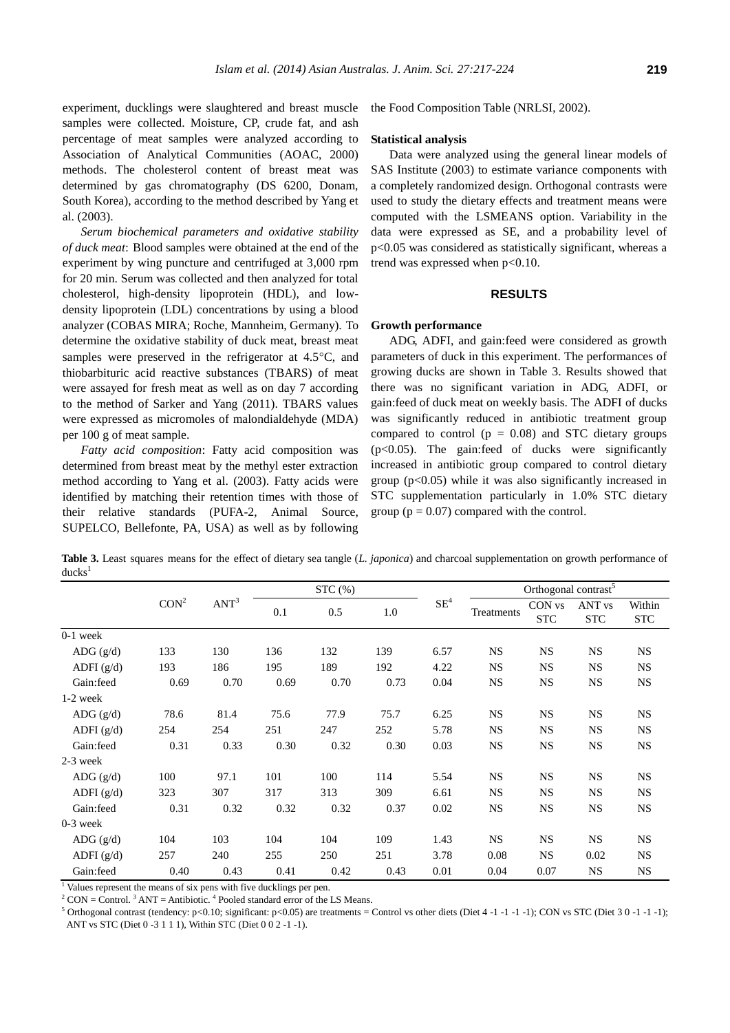experiment, ducklings were slaughtered and breast muscle samples were collected. Moisture, CP, crude fat, and ash percentage of meat samples were analyzed according to Association of Analytical Communities (AOAC, 2000) methods. The cholesterol content of breast meat was determined by gas chromatography (DS 6200, Donam, South Korea), according to the method described by Yang et al. (2003).

*Serum biochemical parameters and oxidative stability of duck meat*: Blood samples were obtained at the end of the experiment by wing puncture and centrifuged at 3,000 rpm for 20 min. Serum was collected and then analyzed for total cholesterol, high-density lipoprotein (HDL), and lowdensity lipoprotein (LDL) concentrations by using a blood analyzer (COBAS MIRA; Roche, Mannheim, Germany). To determine the oxidative stability of duck meat, breast meat samples were preserved in the refrigerator at  $4.5^{\circ}$ C, and thiobarbituric acid reactive substances (TBARS) of meat were assayed for fresh meat as well as on day 7 according to the method of Sarker and Yang (2011). TBARS values were expressed as micromoles of malondialdehyde (MDA) per 100 g of meat sample.

*Fatty acid composition*: Fatty acid composition was determined from breast meat by the methyl ester extraction method according to Yang et al. (2003). Fatty acids were identified by matching their retention times with those of their relative standards (PUFA-2, Animal Source, SUPELCO, Bellefonte, PA, USA) as well as by following the Food Composition Table (NRLSI, 2002).

#### **Statistical analysis**

Data were analyzed using the general linear models of SAS Institute (2003) to estimate variance components with a completely randomized design. Orthogonal contrasts were used to study the dietary effects and treatment means were computed with the LSMEANS option. Variability in the data were expressed as SE, and a probability level of p<0.05 was considered as statistically significant, whereas a trend was expressed when  $p<0.10$ .

# **RESULTS**

#### **Growth performance**

ADG, ADFI, and gain:feed were considered as growth parameters of duck in this experiment. The performances of growing ducks are shown in Table 3. Results showed that there was no significant variation in ADG, ADFI, or gain:feed of duck meat on weekly basis. The ADFI of ducks was significantly reduced in antibiotic treatment group compared to control ( $p = 0.08$ ) and STC dietary groups (p<0.05). The gain:feed of ducks were significantly increased in antibiotic group compared to control dietary group  $(p<0.05)$  while it was also significantly increased in STC supplementation particularly in 1.0% STC dietary group ( $p = 0.07$ ) compared with the control.

**Table 3.** Least squares means for the effect of dietary sea tangle (*L. japonica*) and charcoal supplementation on growth performance of  $ducks<sup>1</sup>$ 

|                          |                  |                  |      | STC(%) |      |                 | Orthogonal contrast <sup>5</sup> |                      |                                 |                      |  |
|--------------------------|------------------|------------------|------|--------|------|-----------------|----------------------------------|----------------------|---------------------------------|----------------------|--|
|                          | CON <sup>2</sup> | ANT <sup>3</sup> | 0.1  | 0.5    | 1.0  | $\mathrm{SE}^4$ | Treatments                       | CON vs<br><b>STC</b> | ANT <sub>vs</sub><br><b>STC</b> | Within<br><b>STC</b> |  |
| $0-1$ week               |                  |                  |      |        |      |                 |                                  |                      |                                 |                      |  |
| ADG $(g/d)$              | 133              | 130              | 136  | 132    | 139  | 6.57            | <b>NS</b>                        | <b>NS</b>            | <b>NS</b>                       | <b>NS</b>            |  |
| ADFI $(g/d)$             | 193              | 186              | 195  | 189    | 192  | 4.22            | <b>NS</b>                        | <b>NS</b>            | <b>NS</b>                       | <b>NS</b>            |  |
| Gain:feed                | 0.69             | 0.70             | 0.69 | 0.70   | 0.73 | 0.04            | <b>NS</b>                        | <b>NS</b>            | <b>NS</b>                       | <b>NS</b>            |  |
| $1-2$ week               |                  |                  |      |        |      |                 |                                  |                      |                                 |                      |  |
| ADG $(g/d)$              | 78.6             | 81.4             | 75.6 | 77.9   | 75.7 | 6.25            | <b>NS</b>                        | <b>NS</b>            | <b>NS</b>                       | <b>NS</b>            |  |
| ADFI $(g/d)$             | 254              | 254              | 251  | 247    | 252  | 5.78            | <b>NS</b>                        | <b>NS</b>            | <b>NS</b>                       | <b>NS</b>            |  |
| Gain:feed                | 0.31             | 0.33             | 0.30 | 0.32   | 0.30 | 0.03            | <b>NS</b>                        | <b>NS</b>            | <b>NS</b>                       | <b>NS</b>            |  |
| $2-3$ week               |                  |                  |      |        |      |                 |                                  |                      |                                 |                      |  |
| $\text{ADG}(\text{g/d})$ | 100              | 97.1             | 101  | 100    | 114  | 5.54            | <b>NS</b>                        | <b>NS</b>            | <b>NS</b>                       | <b>NS</b>            |  |
| ADFI $(g/d)$             | 323              | 307              | 317  | 313    | 309  | 6.61            | <b>NS</b>                        | <b>NS</b>            | <b>NS</b>                       | <b>NS</b>            |  |
| Gain:feed                | 0.31             | 0.32             | 0.32 | 0.32   | 0.37 | 0.02            | <b>NS</b>                        | <b>NS</b>            | <b>NS</b>                       | $_{\rm NS}$          |  |
| $0-3$ week               |                  |                  |      |        |      |                 |                                  |                      |                                 |                      |  |
| ADG $(g/d)$              | 104              | 103              | 104  | 104    | 109  | 1.43            | <b>NS</b>                        | <b>NS</b>            | <b>NS</b>                       | <b>NS</b>            |  |
| ADFI $(g/d)$             | 257              | 240              | 255  | 250    | 251  | 3.78            | 0.08                             | <b>NS</b>            | 0.02                            | <b>NS</b>            |  |
| Gain:feed                | 0.40             | 0.43             | 0.41 | 0.42   | 0.43 | 0.01            | 0.04                             | 0.07                 | <b>NS</b>                       | <b>NS</b>            |  |

 $\frac{1}{1}$  Values represent the means of six pens with five ducklings per pen.

 $2^2$  CON = Control.  $3$  ANT = Antibiotic.  $4$  Pooled standard error of the LS Means.

<sup>5</sup> Orthogonal contrast (tendency: p<0.10; significant: p<0.05) are treatments = Control vs other diets (Diet 4 -1 -1 -1); CON vs STC (Diet 3 0 -1 -1 -1); ANT vs STC (Diet 0 -3 1 1 1), Within STC (Diet 0 0 2 -1 -1).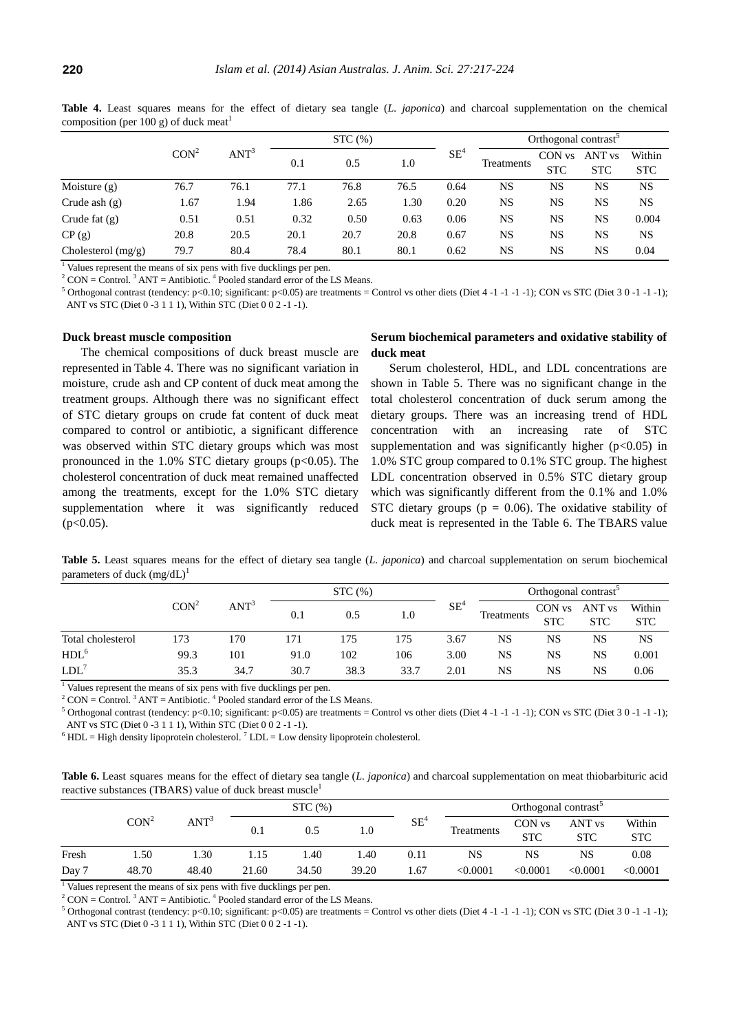| composition (per 100 $\mu$ ) or duen meat |                  |                  |        |      |      |        |                                  |                      |                      |                      |  |
|-------------------------------------------|------------------|------------------|--------|------|------|--------|----------------------------------|----------------------|----------------------|----------------------|--|
|                                           |                  |                  | STC(%) |      |      |        | Orthogonal contrast <sup>3</sup> |                      |                      |                      |  |
|                                           | CON <sup>2</sup> | ANT <sup>3</sup> | 0.1    | 0.5  | 1.0  | $SE^4$ | Treatments                       | CON vs<br><b>STC</b> | ANT vs<br><b>STC</b> | Within<br><b>STC</b> |  |
| Moisture $(g)$                            | 76.7             | 76.1             | 77.1   | 76.8 | 76.5 | 0.64   | NS                               | NS                   | NS                   | <b>NS</b>            |  |
| Crude ash $(g)$                           | 1.67             | 1.94             | 1.86   | 2.65 | 1.30 | 0.20   | NS                               | NS                   | NS                   | NS                   |  |
| Crude fat $(g)$                           | 0.51             | 0.51             | 0.32   | 0.50 | 0.63 | 0.06   | NS                               | NS                   | NS                   | 0.004                |  |
| CP(g)                                     | 20.8             | 20.5             | 20.1   | 20.7 | 20.8 | 0.67   | NS                               | NS                   | NS                   | <b>NS</b>            |  |
| Cholesterol $(mg/g)$                      | 79.7             | 80.4             | 78.4   | 80.1 | 80.1 | 0.62   | NS                               | NS                   | NS                   | 0.04                 |  |

**Table 4.** Least squares means for the effect of dietary sea tangle (*L. japonica*) and charcoal supplementation on the chemical composition (per  $100$  g) of duck meat<sup>1</sup>

<sup>1</sup> Values represent the means of six pens with five ducklings per pen.

 $2^2$  CON = Control.  $3$  ANT = Antibiotic.  $4$  Pooled standard error of the LS Means.

<sup>5</sup> Orthogonal contrast (tendency: p<0.10; significant: p<0.05) are treatments = Control vs other diets (Diet 4 -1 -1 -1); CON vs STC (Diet 3 0 -1 -1-1); ANT vs STC (Diet 0 -3 1 1 1), Within STC (Diet 0 0 2 -1 -1).

#### **Duck breast muscle composition**

The chemical compositions of duck breast muscle are represented in Table 4. There was no significant variation in moisture, crude ash and CP content of duck meat among the treatment groups. Although there was no significant effect of STC dietary groups on crude fat content of duck meat compared to control or antibiotic, a significant difference was observed within STC dietary groups which was most pronounced in the  $1.0\%$  STC dietary groups (p<0.05). The cholesterol concentration of duck meat remained unaffected among the treatments, except for the 1.0% STC dietary supplementation where it was significantly reduced  $(p<0.05)$ .

# **Serum biochemical parameters and oxidative stability of duck meat**

Serum cholesterol, HDL, and LDL concentrations are shown in Table 5. There was no significant change in the total cholesterol concentration of duck serum among the dietary groups. There was an increasing trend of HDL concentration with an increasing rate of STC supplementation and was significantly higher  $(p<0.05)$  in 1.0% STC group compared to 0.1% STC group. The highest LDL concentration observed in 0.5% STC dietary group which was significantly different from the 0.1% and 1.0% STC dietary groups ( $p = 0.06$ ). The oxidative stability of duck meat is represented in the Table 6. The TBARS value

**Table 5.** Least squares means for the effect of dietary sea tangle (*L. japonica*) and charcoal supplementation on serum biochemical parameters of duck  $(mg/dL)^1$ 

|                   |                  |                  | STC(%) |      |      |        | Orthogonal contrast <sup>5</sup> |            |                   |            |
|-------------------|------------------|------------------|--------|------|------|--------|----------------------------------|------------|-------------------|------------|
|                   | CON <sup>2</sup> | ANT <sup>3</sup> | 0.1    | 0.5  | 1.0  | $SE^2$ | Treatments                       | CON vs     | ANT <sub>vs</sub> | Within     |
|                   |                  |                  |        |      |      |        |                                  | <b>STC</b> | <b>STC</b>        | <b>STC</b> |
| Total cholesterol | 173              | 170              | 171    | 175  | 175  | 3.67   | NS                               | NS         | NS                | <b>NS</b>  |
| HDL <sup>6</sup>  | 99.3             | 101              | 91.0   | 102  | 106  | 3.00   | NS                               | NS         | NS                | 0.001      |
| $LDL^7$           | 35.3             | 34.7             | 30.7   | 38.3 | 33.7 | 2.01   | NS                               | NS         | NS                | 0.06       |

 $\frac{1}{1}$  Values represent the means of six pens with five ducklings per pen.

 $2^2$  CON = Control.  $3$  ANT = Antibiotic.  $4$  Pooled standard error of the LS Means.

<sup>5</sup> Orthogonal contrast (tendency: p<0.10; significant: p<0.05) are treatments = Control vs other diets (Diet 4 -1 -1 -1); CON vs STC (Diet 3 0 -1 -1 -1); ANT vs STC (Diet 0 -3 1 1 1), Within STC (Diet 0 0 2 -1 -1).

 $6$  HDL = High density lipoprotein cholesterol.  $7$  LDL = Low density lipoprotein cholesterol.

**Table 6.** Least squares means for the effect of dietary sea tangle (*L. japonica*) and charcoal supplementation on meat thiobarbituric acid reactive substances (TBARS) value of duck breast muscle

|       |                  |                  | STC(%) |       |       |        | Orthogonal contrast <sup>5</sup> |                      |                                 |                      |  |
|-------|------------------|------------------|--------|-------|-------|--------|----------------------------------|----------------------|---------------------------------|----------------------|--|
|       | CON <sup>2</sup> | ANT <sup>3</sup> | 0.1    | 0.5   | 0.1   | $SE^4$ | Treatments                       | CON vs<br><b>STC</b> | ANT <sub>vs</sub><br><b>STC</b> | Within<br><b>STC</b> |  |
| Fresh | . . 50           | .30              | 1.15   | .40   | .40   | 0.11   | NS                               | NS                   | NS                              | 0.08                 |  |
| Day 7 | 48.70            | 48.40            | 21.60  | 34.50 | 39.20 | . 67   | < 0.0001                         | < 0.0001             | < 0.0001                        | < 0.0001             |  |

 $\frac{1}{1}$  Values represent the means of six pens with five ducklings per pen.

 $2^2$  CON = Control.  $3$  ANT = Antibiotic.  $4$  Pooled standard error of the LS Means.

<sup>5</sup> Orthogonal contrast (tendency: p<0.10; significant: p<0.05) are treatments = Control vs other diets (Diet 4 -1 -1 -1); CON vs STC (Diet 3 0 -1 -1-1); ANT vs STC (Diet 0 -3 1 1 1), Within STC (Diet 0 0 2 -1 -1).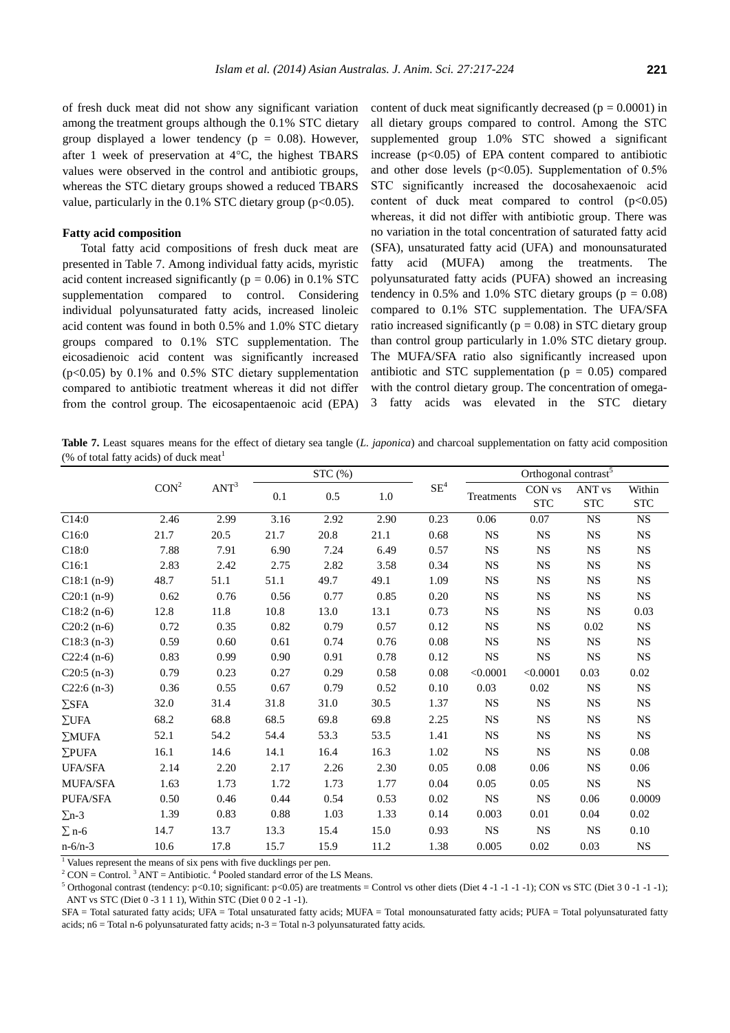of fresh duck meat did not show any significant variation among the treatment groups although the 0.1% STC dietary group displayed a lower tendency ( $p = 0.08$ ). However, after 1 week of preservation at  $4^{\circ}$ C, the highest TBARS values were observed in the control and antibiotic groups, whereas the STC dietary groups showed a reduced TBARS value, particularly in the  $0.1\%$  STC dietary group (p<0.05).

## **Fatty acid composition**

Total fatty acid compositions of fresh duck meat are presented in Table 7. Among individual fatty acids, myristic acid content increased significantly ( $p = 0.06$ ) in 0.1% STC supplementation compared to control. Considering individual polyunsaturated fatty acids, increased linoleic acid content was found in both 0.5% and 1.0% STC dietary groups compared to 0.1% STC supplementation. The eicosadienoic acid content was significantly increased (p<0.05) by 0.1% and 0.5% STC dietary supplementation compared to antibiotic treatment whereas it did not differ from the control group. The eicosapentaenoic acid (EPA) content of duck meat significantly decreased ( $p = 0.0001$ ) in all dietary groups compared to control. Among the STC supplemented group 1.0% STC showed a significant increase  $(p<0.05)$  of EPA content compared to antibiotic and other dose levels ( $p<0.05$ ). Supplementation of 0.5% STC significantly increased the docosahexaenoic acid content of duck meat compared to control  $(p<0.05)$ whereas, it did not differ with antibiotic group. There was no variation in the total concentration of saturated fatty acid (SFA), unsaturated fatty acid (UFA) and monounsaturated fatty acid (MUFA) among the treatments. The polyunsaturated fatty acids (PUFA) showed an increasing tendency in 0.5% and 1.0% STC dietary groups ( $p = 0.08$ ) compared to 0.1% STC supplementation. The UFA/SFA ratio increased significantly ( $p = 0.08$ ) in STC dietary group than control group particularly in 1.0% STC dietary group. The MUFA/SFA ratio also significantly increased upon antibiotic and STC supplementation ( $p = 0.05$ ) compared with the control dietary group. The concentration of omega-3 fatty acids was elevated in the STC dietary

**Table 7.** Least squares means for the effect of dietary sea tangle (*L. japonica*) and charcoal supplementation on fatty acid composition (% of total fatty acids) of duck meat<sup>1</sup>

|                 |                  |                  | STC (%) |      |         |        | Orthogonal contrast <sup>5</sup> |                      |                                 |                      |  |
|-----------------|------------------|------------------|---------|------|---------|--------|----------------------------------|----------------------|---------------------------------|----------------------|--|
|                 | CON <sup>2</sup> | ANT <sup>3</sup> | 0.1     | 0.5  | $1.0\,$ | $SE^4$ | Treatments                       | CON vs<br><b>STC</b> | ANT <sub>vs</sub><br><b>STC</b> | Within<br><b>STC</b> |  |
| C14:0           | 2.46             | 2.99             | 3.16    | 2.92 | 2.90    | 0.23   | 0.06                             | 0.07                 | <b>NS</b>                       | <b>NS</b>            |  |
| C16:0           | 21.7             | 20.5             | 21.7    | 20.8 | 21.1    | 0.68   | <b>NS</b>                        | <b>NS</b>            | <b>NS</b>                       | $_{\rm NS}$          |  |
| C18:0           | 7.88             | 7.91             | 6.90    | 7.24 | 6.49    | 0.57   | <b>NS</b>                        | <b>NS</b>            | <b>NS</b>                       | $_{\rm NS}$          |  |
| C16:1           | 2.83             | 2.42             | 2.75    | 2.82 | 3.58    | 0.34   | <b>NS</b>                        | <b>NS</b>            | <b>NS</b>                       | <b>NS</b>            |  |
| $C18:1(n-9)$    | 48.7             | 51.1             | 51.1    | 49.7 | 49.1    | 1.09   | <b>NS</b>                        | <b>NS</b>            | <b>NS</b>                       | <b>NS</b>            |  |
| $C20:1(n-9)$    | 0.62             | 0.76             | 0.56    | 0.77 | 0.85    | 0.20   | <b>NS</b>                        | <b>NS</b>            | <b>NS</b>                       | $_{\rm NS}$          |  |
| $C18:2(n-6)$    | 12.8             | 11.8             | 10.8    | 13.0 | 13.1    | 0.73   | $_{\rm NS}$                      | $_{\rm NS}$          | <b>NS</b>                       | 0.03                 |  |
| $C20:2(n-6)$    | 0.72             | 0.35             | 0.82    | 0.79 | 0.57    | 0.12   | $_{\rm NS}$                      | <b>NS</b>            | 0.02                            | <b>NS</b>            |  |
| $C18:3(n-3)$    | 0.59             | 0.60             | 0.61    | 0.74 | 0.76    | 0.08   | $_{\rm NS}$                      | <b>NS</b>            | <b>NS</b>                       | $_{\rm NS}$          |  |
| $C22:4(n-6)$    | 0.83             | 0.99             | 0.90    | 0.91 | 0.78    | 0.12   | <b>NS</b>                        | <b>NS</b>            | $_{\rm NS}$                     | $_{\rm NS}$          |  |
| $C20:5(n-3)$    | 0.79             | 0.23             | 0.27    | 0.29 | 0.58    | 0.08   | < 0.0001                         | < 0.0001             | 0.03                            | $0.02\,$             |  |
| $C22:6(n-3)$    | 0.36             | 0.55             | 0.67    | 0.79 | 0.52    | 0.10   | 0.03                             | 0.02                 | <b>NS</b>                       | $_{\rm NS}$          |  |
| $\Sigma$ SFA    | 32.0             | 31.4             | 31.8    | 31.0 | 30.5    | 1.37   | $_{\rm NS}$                      | $_{\rm NS}$          | $_{\rm NS}$                     | $_{\rm NS}$          |  |
| $\Sigma$ UFA    | 68.2             | 68.8             | 68.5    | 69.8 | 69.8    | 2.25   | <b>NS</b>                        | $_{\rm NS}$          | <b>NS</b>                       | $_{\rm NS}$          |  |
| $\Sigma$ MUFA   | 52.1             | 54.2             | 54.4    | 53.3 | 53.5    | 1.41   | <b>NS</b>                        | <b>NS</b>            | <b>NS</b>                       | <b>NS</b>            |  |
| $\Sigma$ PUFA   | 16.1             | 14.6             | 14.1    | 16.4 | 16.3    | 1.02   | <b>NS</b>                        | <b>NS</b>            | <b>NS</b>                       | 0.08                 |  |
| <b>UFA/SFA</b>  | 2.14             | 2.20             | 2.17    | 2.26 | 2.30    | 0.05   | 0.08                             | 0.06                 | <b>NS</b>                       | 0.06                 |  |
| <b>MUFA/SFA</b> | 1.63             | 1.73             | 1.72    | 1.73 | 1.77    | 0.04   | 0.05                             | 0.05                 | <b>NS</b>                       | $_{\rm NS}$          |  |
| PUFA/SFA        | 0.50             | 0.46             | 0.44    | 0.54 | 0.53    | 0.02   | <b>NS</b>                        | <b>NS</b>            | 0.06                            | 0.0009               |  |
| $\Sigma$ n-3    | 1.39             | 0.83             | 0.88    | 1.03 | 1.33    | 0.14   | 0.003                            | 0.01                 | 0.04                            | 0.02                 |  |
| $\Sigma$ n-6    | 14.7             | 13.7             | 13.3    | 15.4 | 15.0    | 0.93   | <b>NS</b>                        | <b>NS</b>            | <b>NS</b>                       | 0.10                 |  |
| $n - 6/n - 3$   | 10.6             | 17.8             | 15.7    | 15.9 | 11.2    | 1.38   | 0.005                            | 0.02                 | 0.03                            | $_{\rm NS}$          |  |

<sup>1</sup> Values represent the means of six pens with five ducklings per pen.

 $2^2$  CON = Control.<sup>3</sup> ANT = Antibiotic.<sup>4</sup> Pooled standard error of the LS Means.

<sup>5</sup> Orthogonal contrast (tendency: p<0.10; significant: p<0.05) are treatments = Control vs other diets (Diet 4 -1 -1 -1); CON vs STC (Diet 3 0 -1 -1-1); ANT vs STC (Diet 0 -3 1 1 1), Within STC (Diet 0 0 2 -1 -1).

SFA = Total saturated fatty acids; UFA = Total unsaturated fatty acids; MUFA = Total monounsaturated fatty acids; PUFA = Total polyunsaturated fatty acids; n6 = Total n-6 polyunsaturated fatty acids; n-3 = Total n-3 polyunsaturated fatty acids.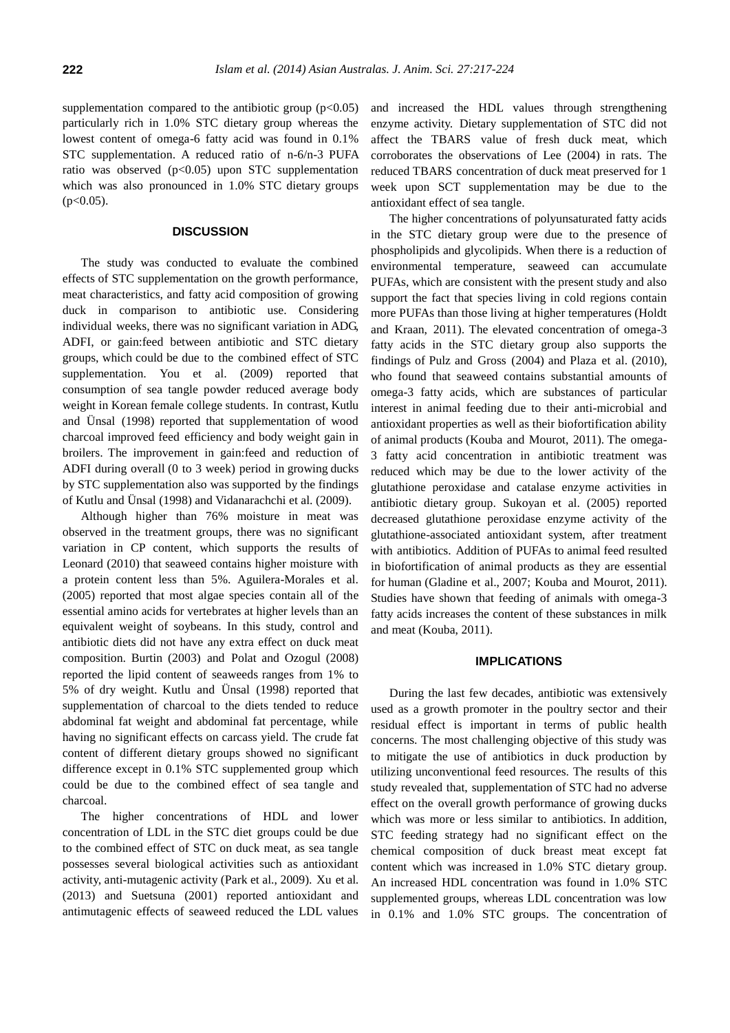supplementation compared to the antibiotic group  $(p<0.05)$ particularly rich in 1.0% STC dietary group whereas the lowest content of omega-6 fatty acid was found in 0.1% STC supplementation. A reduced ratio of n-6/n-3 PUFA ratio was observed (p<0.05) upon STC supplementation which was also pronounced in 1.0% STC dietary groups  $(p<0.05)$ .

## **DISCUSSION**

The study was conducted to evaluate the combined effects of STC supplementation on the growth performance, meat characteristics, and fatty acid composition of growing duck in comparison to antibiotic use. Considering individual weeks, there was no significant variation in ADG, ADFI, or gain:feed between antibiotic and STC dietary groups, which could be due to the combined effect of STC supplementation. You et al. (2009) reported that consumption of sea tangle powder reduced average body weight in Korean female college students. In contrast, Kutlu and Ü nsal (1998) reported that supplementation of wood charcoal improved feed efficiency and body weight gain in broilers. The improvement in gain:feed and reduction of ADFI during overall (0 to 3 week) period in growing ducks by STC supplementation also was supported by the findings of Kutlu and Ü nsal (1998) and Vidanarachchi et al. (2009).

Although higher than 76% moisture in meat was observed in the treatment groups, there was no significant variation in CP content, which supports the results of Leonard (2010) that seaweed contains higher moisture with a protein content less than 5%. Aguilera-Morales et al. (2005) reported that most algae species contain all of the essential amino acids for vertebrates at higher levels than an equivalent weight of soybeans. In this study, control and antibiotic diets did not have any extra effect on duck meat composition. Burtin (2003) and Polat and Ozogul (2008) reported the lipid content of seaweeds ranges from 1% to 5% of dry weight. Kutlu and Ü nsal (1998) reported that supplementation of charcoal to the diets tended to reduce abdominal fat weight and abdominal fat percentage, while having no significant effects on carcass yield. The crude fat content of different dietary groups showed no significant difference except in 0.1% STC supplemented group which could be due to the combined effect of sea tangle and charcoal.

The higher concentrations of HDL and lower concentration of LDL in the STC diet groups could be due to the combined effect of STC on duck meat, as sea tangle possesses several biological activities such as antioxidant activity, anti-mutagenic activity (Park et al., 2009). Xu et al. (2013) and Suetsuna (2001) reported antioxidant and antimutagenic effects of seaweed reduced the LDL values

and increased the HDL values through strengthening enzyme activity. Dietary supplementation of STC did not affect the TBARS value of fresh duck meat, which corroborates the observations of Lee (2004) in rats. The reduced TBARS concentration of duck meat preserved for 1 week upon SCT supplementation may be due to the antioxidant effect of sea tangle.

The higher concentrations of polyunsaturated fatty acids in the STC dietary group were due to the presence of phospholipids and glycolipids. When there is a reduction of environmental temperature, seaweed can accumulate PUFAs, which are consistent with the present study and also support the fact that species living in cold regions contain more PUFAs than those living at higher temperatures (Holdt and Kraan, 2011). The elevated concentration of omega-3 fatty acids in the STC dietary group also supports the findings of Pulz and Gross (2004) and Plaza et al. (2010), who found that seaweed contains substantial amounts of omega-3 fatty acids, which are substances of particular interest in animal feeding due to their anti-microbial and antioxidant properties as well as their biofortification ability of animal products (Kouba and Mourot, 2011). The omega-3 fatty acid concentration in antibiotic treatment was reduced which may be due to the lower activity of the glutathione peroxidase and catalase enzyme activities in antibiotic dietary group. Sukoyan et al. (2005) reported decreased glutathione peroxidase enzyme activity of the glutathione-associated antioxidant system, after treatment with antibiotics. Addition of PUFAs to animal feed resulted in biofortification of animal products as they are essential for human (Gladine et al., 2007; Kouba and Mourot, 2011). Studies have shown that feeding of animals with omega-3 fatty acids increases the content of these substances in milk and meat (Kouba, 2011).

## **IMPLICATIONS**

During the last few decades, antibiotic was extensively used as a growth promoter in the poultry sector and their residual effect is important in terms of public health concerns. The most challenging objective of this study was to mitigate the use of antibiotics in duck production by utilizing unconventional feed resources. The results of this study revealed that, supplementation of STC had no adverse effect on the overall growth performance of growing ducks which was more or less similar to antibiotics. In addition, STC feeding strategy had no significant effect on the chemical composition of duck breast meat except fat content which was increased in 1.0% STC dietary group. An increased HDL concentration was found in 1.0% STC supplemented groups, whereas LDL concentration was low in 0.1% and 1.0% STC groups. The concentration of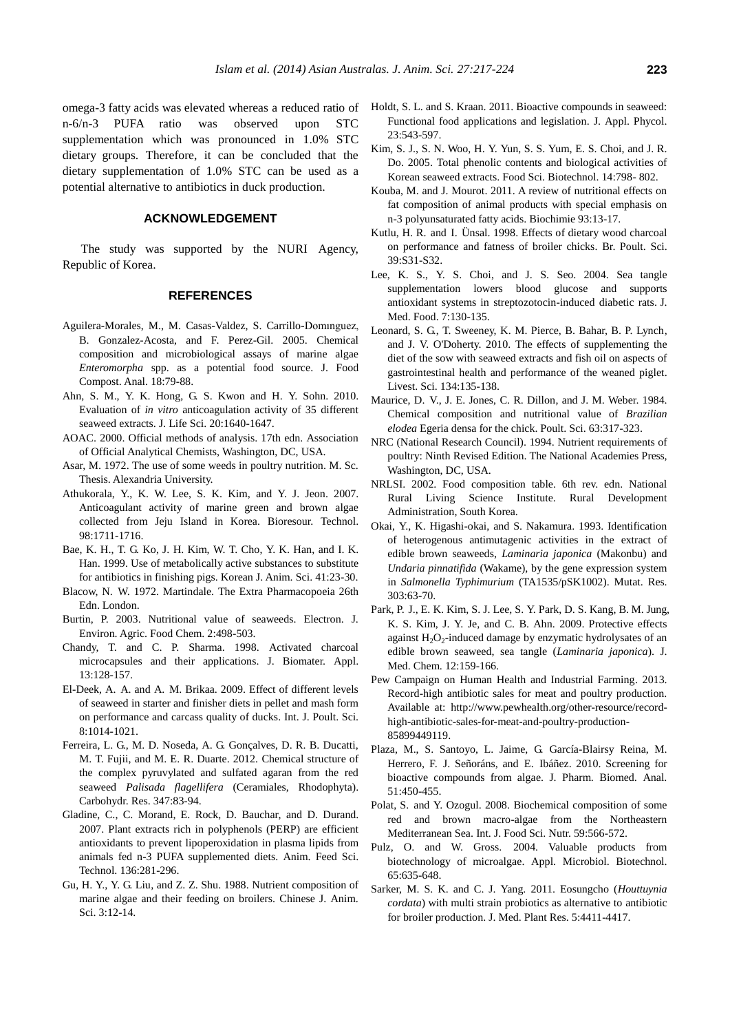omega-3 fatty acids was elevated whereas a reduced ratio of n-6/n-3 PUFA ratio was observed upon STC supplementation which was pronounced in 1.0% STC dietary groups. Therefore, it can be concluded that the dietary supplementation of 1.0% STC can be used as a potential alternative to antibiotics in duck production.

## **ACKNOWLEDGEMENT**

The study was supported by the NURI Agency, Republic of Korea.

#### **REFERENCES**

- Aguilera-Morales, M., M. Casas-Valdez, S. Carrillo-Domınguez, B. Gonzalez-Acosta, and F. Perez-Gil. 2005. [Chemical](http://www.sciencedirect.com/science/article/pii/S0889157504000122)  [composition and microbiological assays of marine algae](http://www.sciencedirect.com/science/article/pii/S0889157504000122)  *Enteromorpha* [spp. as a potential food source.](http://www.sciencedirect.com/science/article/pii/S0889157504000122) J. Food Compost. Anal. 18:79-88.
- Ahn, S. M., Y. K. Hong, G. S. Kwon and H. Y. Sohn. 2010. Evaluation of *in vitro* anticoagulation activity of 35 different seaweed extracts. J. Life Sci. 20:1640-1647.
- AOAC. 2000. Official methods of analysis. 17th edn. Association of Official Analytical Chemists, Washington, DC, USA.
- Asar, M. 1972. The use of some weeds in poultry nutrition. M. Sc. Thesis. Alexandria University.
- Athukorala, Y., K. W. Lee, S. K. Kim, and Y. J. Jeon. 2007. [Anticoagulant activity of marine green and brown algae](http://www.sciencedirect.com/science/article/pii/S0960852406003713)  [collected from Jeju Island in Korea.](http://www.sciencedirect.com/science/article/pii/S0960852406003713) Bioresour. Technol. 98:1711-1716.
- Bae, K. H., T. G. Ko, J. H. Kim, W. T. Cho, Y. K. Han, and I. K. Han. 1999. Use of metabolically active substances to substitute for antibiotics in finishing pigs. Korean J. Anim. Sci. 41:23-30.
- Blacow, N. W. 1972. Martindale. The Extra Pharmacopoeia 26th Edn. London.
- Burtin, P. 2003. Nutritional value of seaweeds. Electron. J. Environ. Agric. Food Chem. 2:498-503.
- Chandy, T. and C. P. Sharma. 1998. [Activated charcoal](http://jba.sagepub.com/content/13/2/128.short)  [microcapsules and their applications.](http://jba.sagepub.com/content/13/2/128.short) J. Biomater. Appl. 13:128-157.
- El-Deek, A. A. and A. M. Brikaa. 2009. [Effect of different levels](http://docsdrive.com/pdfs/ansinet/ijps/2009/1014-1021.pdf)  [of seaweed in starter and finisher diets in pellet and mash form](http://docsdrive.com/pdfs/ansinet/ijps/2009/1014-1021.pdf)  [on performance and carcass quality of ducks.](http://docsdrive.com/pdfs/ansinet/ijps/2009/1014-1021.pdf) Int. J. Poult. Sci. 8:1014-1021.
- Ferreira, L. G., M. D. Noseda, A. G. Gonçalves, D. R. B. Ducatti, M. T. Fujii, and M. E. R. Duarte. 2012. [Chemical structure of](http://www.sciencedirect.com/science/article/pii/S0008621511004897)  [the complex pyruvylated and sulfated agaran from the red](http://www.sciencedirect.com/science/article/pii/S0008621511004897)  seaweed *Palisada flagellifera* [\(Ceramiales, Rhodophyta\).](http://www.sciencedirect.com/science/article/pii/S0008621511004897) Carbohydr. Res. 347:83-94.
- Gladine, C., C. Morand, E. Rock, D. Bauchar, and D. Durand. 2007. [Plant extracts rich in polyphenols \(PERP\) are efficient](http://www.sciencedirect.com/science/article/pii/S0377840106003506)  [antioxidants to prevent lipoperoxidation in plasma lipids from](http://www.sciencedirect.com/science/article/pii/S0377840106003506)  [animals fed n-3 PUFA supplemented diets.](http://www.sciencedirect.com/science/article/pii/S0377840106003506) Anim. Feed Sci. Technol. 136:281-296.
- Gu, H. Y., Y. G. Liu, and Z. Z. Shu. 1988. Nutrient composition of marine algae and their feeding on broilers. Chinese J. Anim. Sci. 3:12-14.
- Holdt, S. L. and S. Kraan. 2011[. Bioactive compounds in seaweed:](http://link.springer.com/article/10.1007/s10811-010-9632-5#page-1)  [Functional food applications and legislation.](http://link.springer.com/article/10.1007/s10811-010-9632-5#page-1) J. Appl. Phycol. 23:543-597.
- Kim, S. J., S. N. Woo, H. Y. Yun, S. S. Yum, E. S. Choi, and J. R. Do. 2005. Total phenolic contents and biological activities of Korean seaweed extracts. Food Sci. Biotechnol. 14:798- 802.
- Kouba, M. and J. Mourot. 2011. [A review of nutritional effects on](http://www.sciencedirect.com/science/article/pii/S030090841000088X)  [fat composition of animal products with special emphasis on](http://www.sciencedirect.com/science/article/pii/S030090841000088X)  [n-3 polyunsaturated fatty acids.](http://www.sciencedirect.com/science/article/pii/S030090841000088X) Biochimie 93:13-17.
- Kutlu, H. R. and I. Ü nsal. 1998. [Effects of dietary wood charcoal](http://www.tandfonline.com/doi/abs/10.1080/00071669888214?journalCode=cbps20)  [on performance and fatness of broiler chicks.](http://www.tandfonline.com/doi/abs/10.1080/00071669888214?journalCode=cbps20) Br. Poult. Sci. 39:S31-S32.
- Lee, K. S., Y. S. Choi, and J. S. Seo. 2004. [Sea tangle](http://online.liebertpub.com/doi/abs/10.1089/1096620041223996)  [supplementation lowers blood glucose and supports](http://online.liebertpub.com/doi/abs/10.1089/1096620041223996)  [antioxidant](http://online.liebertpub.com/doi/abs/10.1089/1096620041223996) systems in streptozotocin-induced diabetic rats. J. Med. Food. 7:130-135.
- Leonard, S. G., T. Sweeney, K. M. Pierce, B. Bahar, B. P. Lynch, and J. V. O'Doherty. 2010. [The effects of supplementing the](http://www.livestockscience.com/article/S1871-1413(10)00330-6/abstract)  [diet of the sow with seaweed extracts and fish oil on aspects of](http://www.livestockscience.com/article/S1871-1413(10)00330-6/abstract)  [gastrointestinal health and performance of the weaned piglet.](http://www.livestockscience.com/article/S1871-1413(10)00330-6/abstract) Livest. Sci. 134:135-138.
- Maurice, D. V., J. E. Jones, C. R. Dillon, and J. M. Weber. 1984. [Chemical composition and nutritional value of](http://ps.fass.org/content/63/2/317.short) *Brazilian elodea* [Egeria densa for the chick.](http://ps.fass.org/content/63/2/317.short) Poult. Sci. 63:317-323.
- NRC (National Research Council). 1994. [Nutrient requirements of](http://www.nap.edu/catalog.php?record_id=2114)  [poultry: Ninth Revised Edition. T](http://www.nap.edu/catalog.php?record_id=2114)he National Academies Press, Washington, DC, USA.
- NRLSI. 2002. Food composition table. 6th rev. edn. National Rural Living Science Institute. Rural Development Administration, South Korea.
- Okai, Y., K. Higashi-okai, and S. Nakamura. 1993. Identification of heterogenous antimutagenic activities in the extract of edible brown seaweeds, *Laminaria japonica* (Makonbu) and *Undaria pinnatifida* (Wakame), by the gene expression system in *Salmonella Typhimurium* (TA1535/pSK1002). Mutat. Res. 303:63-70.
- Park, P. J., E. K. Kim, S. J. Lee, S. Y. Park, D. S. Kang, B. M. Jung, K. S. Kim, J. Y. Je, and C. B. Ahn. 2009. Protective effects against  $H_2O_2$ -induced damage by enzymatic hydrolysates of an edible brown seaweed, sea tangle (*Laminaria japonica*). J. Med. Chem. 12:159-166.
- [Pew Campaign on Human Health and Industrial Farming.](http://www.pewhealth.org/projects/pew-campaign-on-human-health-and-industrial-farming-85899367226) 2013. Record-high antibiotic sales for meat and poultry production. Available at: [http://www.pewhealth.org/other-resource/record](http://www.pewhealth.org/other-resource/record-high-antibiotic-sales-for-meat-and-poultry-production-85899449119)[high-antibiotic-sales-for-meat-and-poultry-production-](http://www.pewhealth.org/other-resource/record-high-antibiotic-sales-for-meat-and-poultry-production-85899449119)[85899449119.](http://www.pewhealth.org/other-resource/record-high-antibiotic-sales-for-meat-and-poultry-production-85899449119)
- Plaza, M., S. Santoyo, L. Jaime, [G. García-Blairsy Reina,](http://www.sciencedirect.com/science/article/pii/S0731708509001939) [M.](http://www.sciencedirect.com/science/article/pii/S0731708509001939)  [Herrero,](http://www.sciencedirect.com/science/article/pii/S0731708509001939) F. [J. Señoráns,](http://www.sciencedirect.com/science/article/pii/S0731708509001939) and E. [Ibáñez.](http://www.sciencedirect.com/science/article/pii/S0731708509001939) 2010. [Screening for](http://www.sciencedirect.com/science/article/pii/S0731708509001939)  [bioactive compounds from algae.](http://www.sciencedirect.com/science/article/pii/S0731708509001939) J. Pharm. Biomed. Anal. 51:450-455.
- Polat, S. and Y. Ozogul. 2008. [Biochemical composition of some](http://informahealthcare.com/doi/abs/10.1080/09637480701446524)  [red and brown macro-algae from the Northeastern](http://informahealthcare.com/doi/abs/10.1080/09637480701446524)  [Mediterranean Sea.](http://informahealthcare.com/doi/abs/10.1080/09637480701446524) Int. J. Food Sci. Nutr. 59:566-572.
- Pulz, O. and W. Gross. 2004. [Valuable products from](http://link.springer.com/article/10.1007/s00253-004-1647-x)  [biotechnology of microalgae.](http://link.springer.com/article/10.1007/s00253-004-1647-x) Appl. Microbiol. Biotechnol. 65:635-648.
- Sarker, M. S. K. and C. J. Yang. 2011. Eosungcho (*Houttuynia cordata*) with multi strain probiotics as alternative to antibiotic for broiler production. J. Med. Plant Res. 5:4411-4417.